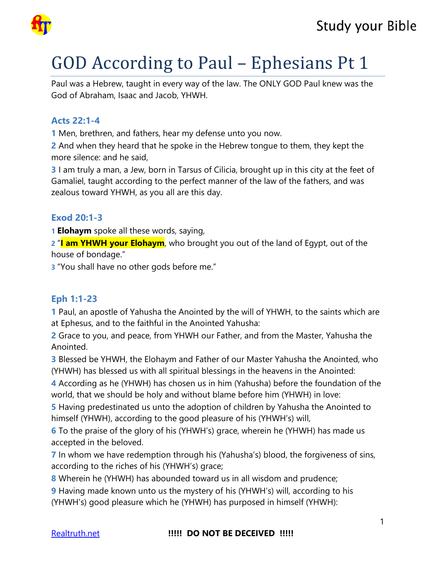

# GOD According to Paul – Ephesians Pt 1

Paul was a Hebrew, taught in every way of the law. The ONLY GOD Paul knew was the God of Abraham, Isaac and Jacob, YHWH.

#### **Acts 22:1-4**

**1** Men, brethren, and fathers, hear my defense unto you now.

**2** And when they heard that he spoke in the Hebrew tongue to them, they kept the more silence: and he said,

**3** I am truly a man, a Jew, born in Tarsus of Cilicia, brought up in this city at the feet of Gamaliel, taught according to the perfect manner of the law of the fathers, and was zealous toward YHWH, as you all are this day.

#### **Exod 20:1-3**

**1 Elohaym** spoke all these words, saying,

**2** "**I am YHWH your Elohaym**, who brought you out of the land of Egypt, out of the house of bondage."

**3** "You shall have no other gods before me."

#### **Eph 1:1-23**

**1** Paul, an apostle of Yahusha the Anointed by the will of YHWH, to the saints which are at Ephesus, and to the faithful in the Anointed Yahusha:

**2** Grace to you, and peace, from YHWH our Father, and from the Master, Yahusha the Anointed.

**3** Blessed be YHWH, the Elohaym and Father of our Master Yahusha the Anointed, who (YHWH) has blessed us with all spiritual blessings in the heavens in the Anointed:

**4** According as he (YHWH) has chosen us in him (Yahusha) before the foundation of the world, that we should be holy and without blame before him (YHWH) in love:

**5** Having predestinated us unto the adoption of children by Yahusha the Anointed to himself (YHWH), according to the good pleasure of his (YHWH's) will,

**6** To the praise of the glory of his (YHWH's) grace, wherein he (YHWH) has made us accepted in the beloved.

**7** In whom we have redemption through his (Yahusha's) blood, the forgiveness of sins, according to the riches of his (YHWH's) grace;

**8** Wherein he (YHWH) has abounded toward us in all wisdom and prudence;

**9** Having made known unto us the mystery of his (YHWH's) will, according to his (YHWH's) good pleasure which he (YHWH) has purposed in himself (YHWH):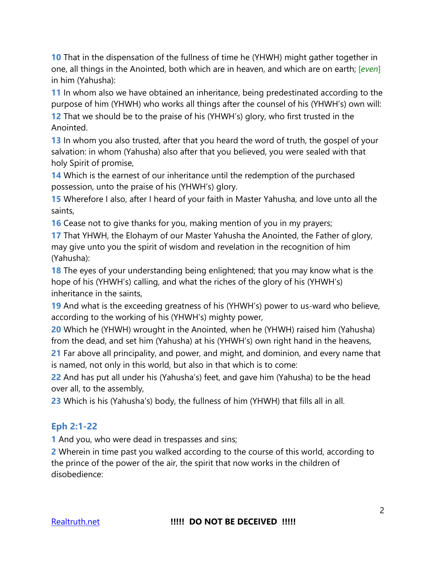**10** That in the dispensation of the fullness of time he (YHWH) might gather together in one, all things in the Anointed, both which are in heaven, and which are on earth; [*even*] in him (Yahusha):

**11** In whom also we have obtained an inheritance, being predestinated according to the purpose of him (YHWH) who works all things after the counsel of his (YHWH's) own will:

**12** That we should be to the praise of his (YHWH's) glory, who first trusted in the Anointed.

**13** In whom you also trusted, after that you heard the word of truth, the gospel of your salvation: in whom (Yahusha) also after that you believed, you were sealed with that holy Spirit of promise,

**14** Which is the earnest of our inheritance until the redemption of the purchased possession, unto the praise of his (YHWH's) glory.

**15** Wherefore I also, after I heard of your faith in Master Yahusha, and love unto all the saints,

**16** Cease not to give thanks for you, making mention of you in my prayers;

**17** That YHWH, the Elohaym of our Master Yahusha the Anointed, the Father of glory, may give unto you the spirit of wisdom and revelation in the recognition of him (Yahusha):

**18** The eyes of your understanding being enlightened; that you may know what is the hope of his (YHWH's) calling, and what the riches of the glory of his (YHWH's) inheritance in the saints,

**19** And what is the exceeding greatness of his (YHWH's) power to us-ward who believe, according to the working of his (YHWH's) mighty power,

**20** Which he (YHWH) wrought in the Anointed, when he (YHWH) raised him (Yahusha) from the dead, and set him (Yahusha) at his (YHWH's) own right hand in the heavens,

**21** Far above all principality, and power, and might, and dominion, and every name that is named, not only in this world, but also in that which is to come:

**22** And has put all under his (Yahusha's) feet, and gave him (Yahusha) to be the head over all, to the assembly,

**23** Which is his (Yahusha's) body, the fullness of him (YHWH) that fills all in all.

#### **Eph 2:1-22**

**1** And you, who were dead in trespasses and sins;

**2** Wherein in time past you walked according to the course of this world, according to the prince of the power of the air, the spirit that now works in the children of disobedience: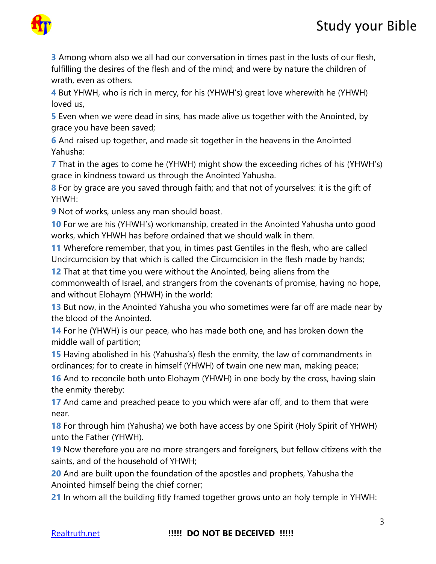



**3** Among whom also we all had our conversation in times past in the lusts of our flesh, fulfilling the desires of the flesh and of the mind; and were by nature the children of wrath, even as others.

**4** But YHWH, who is rich in mercy, for his (YHWH's) great love wherewith he (YHWH) loved us,

**5** Even when we were dead in sins, has made alive us together with the Anointed, by grace you have been saved;

**6** And raised up together, and made sit together in the heavens in the Anointed Yahusha:

**7** That in the ages to come he (YHWH) might show the exceeding riches of his (YHWH's) grace in kindness toward us through the Anointed Yahusha.

**8** For by grace are you saved through faith; and that not of yourselves: it is the gift of YHWH:

**9** Not of works, unless any man should boast.

**10** For we are his (YHWH's) workmanship, created in the Anointed Yahusha unto good works, which YHWH has before ordained that we should walk in them.

**11** Wherefore remember, that you, in times past Gentiles in the flesh, who are called Uncircumcision by that which is called the Circumcision in the flesh made by hands;

**12** That at that time you were without the Anointed, being aliens from the commonwealth of Israel, and strangers from the covenants of promise, having no hope, and without Elohaym (YHWH) in the world:

**13** But now, in the Anointed Yahusha you who sometimes were far off are made near by the blood of the Anointed.

**14** For he (YHWH) is our peace, who has made both one, and has broken down the middle wall of partition;

**15** Having abolished in his (Yahusha's) flesh the enmity, the law of commandments in ordinances; for to create in himself (YHWH) of twain one new man, making peace;

**16** And to reconcile both unto Elohaym (YHWH) in one body by the cross, having slain the enmity thereby:

**17** And came and preached peace to you which were afar off, and to them that were near.

**18** For through him (Yahusha) we both have access by one Spirit (Holy Spirit of YHWH) unto the Father (YHWH).

**19** Now therefore you are no more strangers and foreigners, but fellow citizens with the saints, and of the household of YHWH;

**20** And are built upon the foundation of the apostles and prophets, Yahusha the Anointed himself being the chief corner;

**21** In whom all the building fitly framed together grows unto an holy temple in YHWH: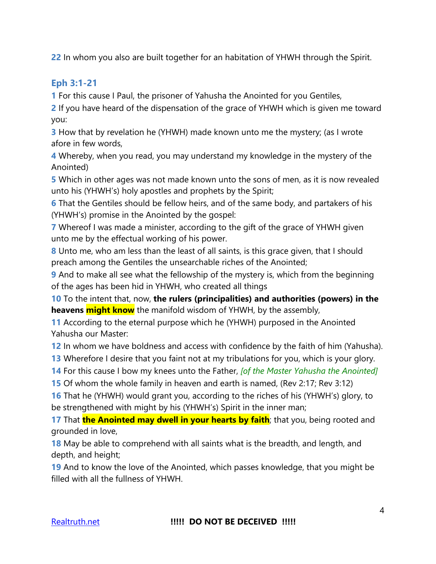**22** In whom you also are built together for an habitation of YHWH through the Spirit.

#### **Eph 3:1-21**

**1** For this cause I Paul, the prisoner of Yahusha the Anointed for you Gentiles,

**2** If you have heard of the dispensation of the grace of YHWH which is given me toward you:

**3** How that by revelation he (YHWH) made known unto me the mystery; (as I wrote afore in few words,

**4** Whereby, when you read, you may understand my knowledge in the mystery of the Anointed)

**5** Which in other ages was not made known unto the sons of men, as it is now revealed unto his (YHWH's) holy apostles and prophets by the Spirit;

**6** That the Gentiles should be fellow heirs, and of the same body, and partakers of his (YHWH's) promise in the Anointed by the gospel:

**7** Whereof I was made a minister, according to the gift of the grace of YHWH given unto me by the effectual working of his power.

**8** Unto me, who am less than the least of all saints, is this grace given, that I should preach among the Gentiles the unsearchable riches of the Anointed;

**9** And to make all see what the fellowship of the mystery is, which from the beginning of the ages has been hid in YHWH, who created all things

**10** To the intent that, now, **the rulers (principalities) and authorities (powers) in the heavens might know** the manifold wisdom of YHWH, by the assembly,

**11** According to the eternal purpose which he (YHWH) purposed in the Anointed Yahusha our Master:

**12** In whom we have boldness and access with confidence by the faith of him (Yahusha).

**13** Wherefore I desire that you faint not at my tribulations for you, which is your glory.

**14** For this cause I bow my knees unto the Father, *[of the Master Yahusha the Anointed]*

**15** Of whom the whole family in heaven and earth is named, (Rev 2:17; Rev 3:12)

**16** That he (YHWH) would grant you, according to the riches of his (YHWH's) glory, to be strengthened with might by his (YHWH's) Spirit in the inner man;

17 That **the Anointed may dwell in your hearts by faith**; that you, being rooted and grounded in love,

**18** May be able to comprehend with all saints what is the breadth, and length, and depth, and height;

**19** And to know the love of the Anointed, which passes knowledge, that you might be filled with all the fullness of YHWH.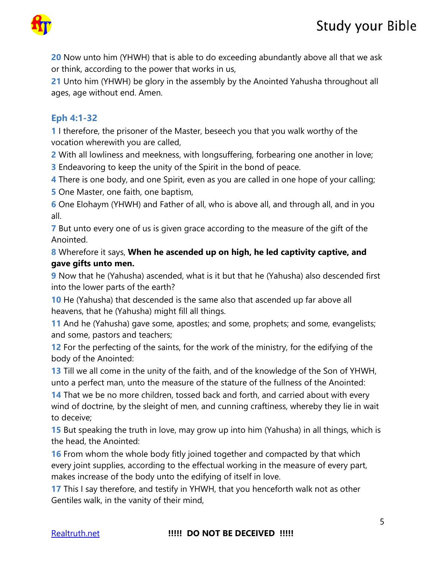

**20** Now unto him (YHWH) that is able to do exceeding abundantly above all that we ask or think, according to the power that works in us,

**21** Unto him (YHWH) be glory in the assembly by the Anointed Yahusha throughout all ages, age without end. Amen.

#### **Eph 4:1-32**

**1** I therefore, the prisoner of the Master, beseech you that you walk worthy of the vocation wherewith you are called,

**2** With all lowliness and meekness, with longsuffering, forbearing one another in love;

**3** Endeavoring to keep the unity of the Spirit in the bond of peace.

**4** There is one body, and one Spirit, even as you are called in one hope of your calling;

**5** One Master, one faith, one baptism,

**6** One Elohaym (YHWH) and Father of all, who is above all, and through all, and in you all.

**7** But unto every one of us is given grace according to the measure of the gift of the Anointed.

**8** Wherefore it says, **When he ascended up on high, he led captivity captive, and gave gifts unto men.**

**9** Now that he (Yahusha) ascended, what is it but that he (Yahusha) also descended first into the lower parts of the earth?

**10** He (Yahusha) that descended is the same also that ascended up far above all heavens, that he (Yahusha) might fill all things.

**11** And he (Yahusha) gave some, apostles; and some, prophets; and some, evangelists; and some, pastors and teachers;

**12** For the perfecting of the saints, for the work of the ministry, for the edifying of the body of the Anointed:

**13** Till we all come in the unity of the faith, and of the knowledge of the Son of YHWH, unto a perfect man, unto the measure of the stature of the fullness of the Anointed:

**14** That we be no more children, tossed back and forth, and carried about with every wind of doctrine, by the sleight of men, and cunning craftiness, whereby they lie in wait to deceive;

**15** But speaking the truth in love, may grow up into him (Yahusha) in all things, which is the head, the Anointed:

**16** From whom the whole body fitly joined together and compacted by that which every joint supplies, according to the effectual working in the measure of every part, makes increase of the body unto the edifying of itself in love.

**17** This I say therefore, and testify in YHWH, that you henceforth walk not as other Gentiles walk, in the vanity of their mind,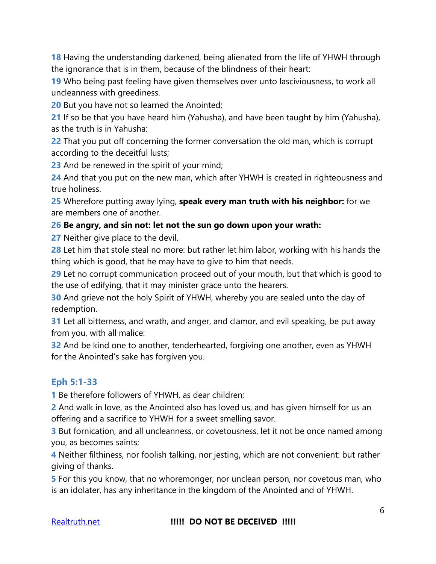**18** Having the understanding darkened, being alienated from the life of YHWH through the ignorance that is in them, because of the blindness of their heart:

**19** Who being past feeling have given themselves over unto lasciviousness, to work all uncleanness with greediness.

**20** But you have not so learned the Anointed;

**21** If so be that you have heard him (Yahusha), and have been taught by him (Yahusha), as the truth is in Yahusha:

**22** That you put off concerning the former conversation the old man, which is corrupt according to the deceitful lusts;

**23** And be renewed in the spirit of your mind;

**24** And that you put on the new man, which after YHWH is created in righteousness and true holiness.

**25** Wherefore putting away lying, **speak every man truth with his neighbor:** for we are members one of another.

#### **26 Be angry, and sin not: let not the sun go down upon your wrath:**

**27** Neither give place to the devil.

**28** Let him that stole steal no more: but rather let him labor, working with his hands the thing which is good, that he may have to give to him that needs.

**29** Let no corrupt communication proceed out of your mouth, but that which is good to the use of edifying, that it may minister grace unto the hearers.

**30** And grieve not the holy Spirit of YHWH, whereby you are sealed unto the day of redemption.

**31** Let all bitterness, and wrath, and anger, and clamor, and evil speaking, be put away from you, with all malice:

**32** And be kind one to another, tenderhearted, forgiving one another, even as YHWH for the Anointed's sake has forgiven you.

#### **Eph 5:1-33**

**1** Be therefore followers of YHWH, as dear children;

**2** And walk in love, as the Anointed also has loved us, and has given himself for us an offering and a sacrifice to YHWH for a sweet smelling savor.

**3** But fornication, and all uncleanness, or covetousness, let it not be once named among you, as becomes saints;

**4** Neither filthiness, nor foolish talking, nor jesting, which are not convenient: but rather giving of thanks.

**5** For this you know, that no whoremonger, nor unclean person, nor covetous man, who is an idolater, has any inheritance in the kingdom of the Anointed and of YHWH.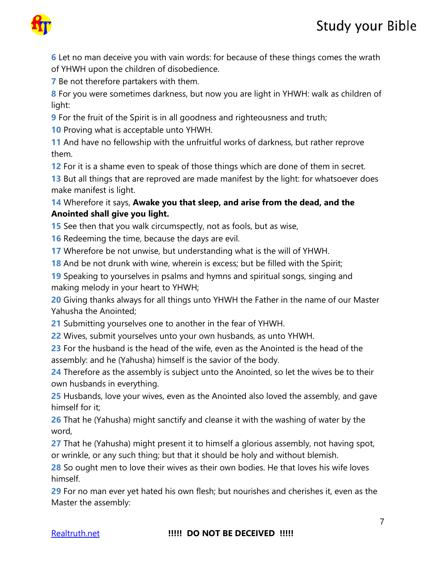## Study your Bible



Let no man deceive you with vain words: for because of these things comes the wrath of YHWH upon the children of disobedience.

Be not therefore partakers with them.

For you were sometimes darkness, but now you are light in YHWH: walk as children of light:

For the fruit of the Spirit is in all goodness and righteousness and truth;

Proving what is acceptable unto YHWH.

And have no fellowship with the unfruitful works of darkness, but rather reprove them.

For it is a shame even to speak of those things which are done of them in secret.

But all things that are reproved are made manifest by the light: for whatsoever does make manifest is light.

#### Wherefore it says, **Awake you that sleep, and arise from the dead, and the Anointed shall give you light.**

See then that you walk circumspectly, not as fools, but as wise,

Redeeming the time, because the days are evil.

Wherefore be not unwise, but understanding what is the will of YHWH.

And be not drunk with wine, wherein is excess; but be filled with the Spirit;

Speaking to yourselves in psalms and hymns and spiritual songs, singing and making melody in your heart to YHWH;

Giving thanks always for all things unto YHWH the Father in the name of our Master Yahusha the Anointed;

Submitting yourselves one to another in the fear of YHWH.

Wives, submit yourselves unto your own husbands, as unto YHWH.

For the husband is the head of the wife, even as the Anointed is the head of the assembly: and he (Yahusha) himself is the savior of the body.

Therefore as the assembly is subject unto the Anointed, so let the wives be to their own husbands in everything.

Husbands, love your wives, even as the Anointed also loved the assembly, and gave himself for it;

That he (Yahusha) might sanctify and cleanse it with the washing of water by the word,

That he (Yahusha) might present it to himself a glorious assembly, not having spot, or wrinkle, or any such thing; but that it should be holy and without blemish.

So ought men to love their wives as their own bodies. He that loves his wife loves himself.

For no man ever yet hated his own flesh; but nourishes and cherishes it, even as the Master the assembly: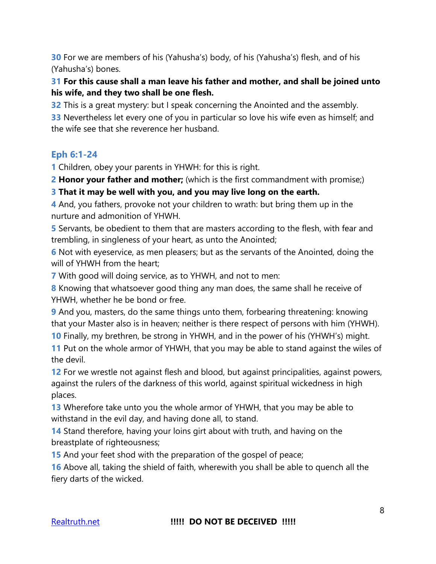**30** For we are members of his (Yahusha's) body, of his (Yahusha's) flesh, and of his (Yahusha's) bones.

#### **31 For this cause shall a man leave his father and mother, and shall be joined unto his wife, and they two shall be one flesh.**

**32** This is a great mystery: but I speak concerning the Anointed and the assembly.

**33** Nevertheless let every one of you in particular so love his wife even as himself; and the wife see that she reverence her husband.

### **Eph 6:1-24**

**1** Children, obey your parents in YHWH: for this is right.

**2 Honor your father and mother;** (which is the first commandment with promise;)

#### **3 That it may be well with you, and you may live long on the earth.**

**4** And, you fathers, provoke not your children to wrath: but bring them up in the nurture and admonition of YHWH.

**5** Servants, be obedient to them that are masters according to the flesh, with fear and trembling, in singleness of your heart, as unto the Anointed;

**6** Not with eyeservice, as men pleasers; but as the servants of the Anointed, doing the will of YHWH from the heart;

**7** With good will doing service, as to YHWH, and not to men:

**8** Knowing that whatsoever good thing any man does, the same shall he receive of YHWH, whether he be bond or free.

**9** And you, masters, do the same things unto them, forbearing threatening: knowing that your Master also is in heaven; neither is there respect of persons with him (YHWH).

**10** Finally, my brethren, be strong in YHWH, and in the power of his (YHWH's) might.

**11** Put on the whole armor of YHWH, that you may be able to stand against the wiles of the devil.

**12** For we wrestle not against flesh and blood, but against principalities, against powers, against the rulers of the darkness of this world, against spiritual wickedness in high places.

**13** Wherefore take unto you the whole armor of YHWH, that you may be able to withstand in the evil day, and having done all, to stand.

**14** Stand therefore, having your loins girt about with truth, and having on the breastplate of righteousness;

**15** And your feet shod with the preparation of the gospel of peace;

**16** Above all, taking the shield of faith, wherewith you shall be able to quench all the fiery darts of the wicked.